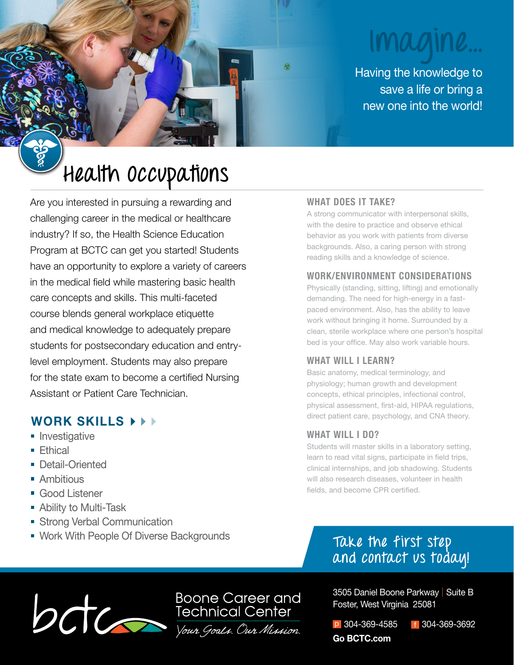# **Imagine...**

Having the knowledge to save a life or bring a new one into the world!

# **Health Occupations**

Are you interested in pursuing a rewarding and challenging career in the medical or healthcare industry? If so, the Health Science Education Program at BCTC can get you started! Students have an opportunity to explore a variety of careers in the medical field while mastering basic health care concepts and skills. This multi-faceted course blends general workplace etiquette and medical knowledge to adequately prepare students for postsecondary education and entrylevel employment. Students may also prepare for the state exam to become a certified Nursing Assistant or Patient Care Technician.

# **WORK SKILLS**

- **Investigative**
- $\blacksquare$  Fthical
- **Detail-Oriented**
- **Ambitious**
- Good Listener
- **Ability to Multi-Task**
- **Strong Verbal Communication**
- **Work With People Of Diverse Backgrounds**

# **WHAT DOES IT TAKE?**

A strong communicator with interpersonal skills, with the desire to practice and observe ethical behavior as you work with patients from diverse backgrounds. Also, a caring person with strong reading skills and a knowledge of science.

### **WORK/ENVIRONMENT CONSIDERATIONS**

Physically (standing, sitting, lifting) and emotionally demanding. The need for high-energy in a fastpaced environment. Also, has the ability to leave work without bringing it home. Surrounded by a clean, sterile workplace where one person's hospital bed is your office. May also work variable hours.

# **WHAT WILL I LEARN?**

Basic anatomy, medical terminology, and physiology; human growth and development concepts, ethical principles, infectional control, physical assessment, first-aid, HIPAA regulations, direct patient care, psychology, and CNA theory.

# **WHAT WILL I DO?**

Students will master skills in a laboratory setting, learn to read vital signs, participate in field trips, clinical internships, and job shadowing. Students will also research diseases, volunteer in health fields, and become CPR certified.

# **Take the first step and contact us today!**



3505 Daniel Boone Parkway | Suite B Foster, West Virginia 25081

p 304-369-4585 f 304-369-3692 **Go BCTC.com**